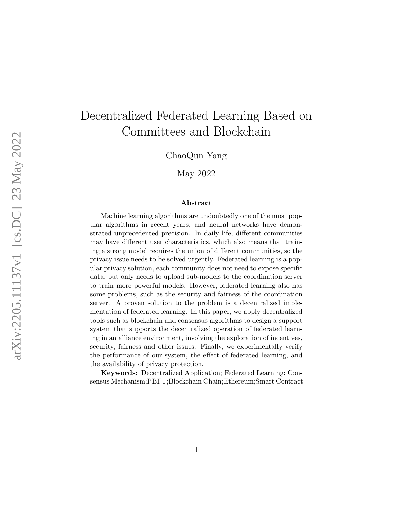# Decentralized Federated Learning Based on Committees and Blockchain

ChaoQun Yang

May 2022

#### Abstract

Machine learning algorithms are undoubtedly one of the most popular algorithms in recent years, and neural networks have demonstrated unprecedented precision. In daily life, different communities may have different user characteristics, which also means that training a strong model requires the union of different communities, so the privacy issue needs to be solved urgently. Federated learning is a popular privacy solution, each community does not need to expose specific data, but only needs to upload sub-models to the coordination server to train more powerful models. However, federated learning also has some problems, such as the security and fairness of the coordination server. A proven solution to the problem is a decentralized implementation of federated learning. In this paper, we apply decentralized tools such as blockchain and consensus algorithms to design a support system that supports the decentralized operation of federated learning in an alliance environment, involving the exploration of incentives, security, fairness and other issues. Finally, we experimentally verify the performance of our system, the effect of federated learning, and the availability of privacy protection.

Keywords: Decentralized Application; Federated Learning; Consensus Mechanism;PBFT;Blockchain Chain;Ethereum;Smart Contract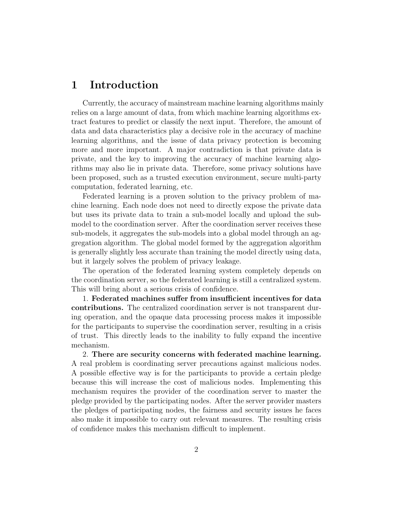## 1 Introduction

Currently, the accuracy of mainstream machine learning algorithms mainly relies on a large amount of data, from which machine learning algorithms extract features to predict or classify the next input. Therefore, the amount of data and data characteristics play a decisive role in the accuracy of machine learning algorithms, and the issue of data privacy protection is becoming more and more important. A major contradiction is that private data is private, and the key to improving the accuracy of machine learning algorithms may also lie in private data. Therefore, some privacy solutions have been proposed, such as a trusted execution environment, secure multi-party computation, federated learning, etc.

Federated learning is a proven solution to the privacy problem of machine learning. Each node does not need to directly expose the private data but uses its private data to train a sub-model locally and upload the submodel to the coordination server. After the coordination server receives these sub-models, it aggregates the sub-models into a global model through an aggregation algorithm. The global model formed by the aggregation algorithm is generally slightly less accurate than training the model directly using data, but it largely solves the problem of privacy leakage.

The operation of the federated learning system completely depends on the coordination server, so the federated learning is still a centralized system. This will bring about a serious crisis of confidence.

1. Federated machines suffer from insufficient incentives for data contributions. The centralized coordination server is not transparent during operation, and the opaque data processing process makes it impossible for the participants to supervise the coordination server, resulting in a crisis of trust. This directly leads to the inability to fully expand the incentive mechanism.

2. There are security concerns with federated machine learning. A real problem is coordinating server precautions against malicious nodes. A possible effective way is for the participants to provide a certain pledge because this will increase the cost of malicious nodes. Implementing this mechanism requires the provider of the coordination server to master the pledge provided by the participating nodes. After the server provider masters the pledges of participating nodes, the fairness and security issues he faces also make it impossible to carry out relevant measures. The resulting crisis of confidence makes this mechanism difficult to implement.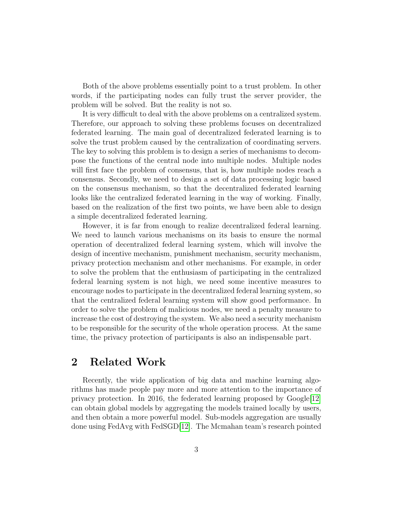Both of the above problems essentially point to a trust problem. In other words, if the participating nodes can fully trust the server provider, the problem will be solved. But the reality is not so.

It is very difficult to deal with the above problems on a centralized system. Therefore, our approach to solving these problems focuses on decentralized federated learning. The main goal of decentralized federated learning is to solve the trust problem caused by the centralization of coordinating servers. The key to solving this problem is to design a series of mechanisms to decompose the functions of the central node into multiple nodes. Multiple nodes will first face the problem of consensus, that is, how multiple nodes reach a consensus. Secondly, we need to design a set of data processing logic based on the consensus mechanism, so that the decentralized federated learning looks like the centralized federated learning in the way of working. Finally, based on the realization of the first two points, we have been able to design a simple decentralized federated learning.

However, it is far from enough to realize decentralized federal learning. We need to launch various mechanisms on its basis to ensure the normal operation of decentralized federal learning system, which will involve the design of incentive mechanism, punishment mechanism, security mechanism, privacy protection mechanism and other mechanisms. For example, in order to solve the problem that the enthusiasm of participating in the centralized federal learning system is not high, we need some incentive measures to encourage nodes to participate in the decentralized federal learning system, so that the centralized federal learning system will show good performance. In order to solve the problem of malicious nodes, we need a penalty measure to increase the cost of destroying the system. We also need a security mechanism to be responsible for the security of the whole operation process. At the same time, the privacy protection of participants is also an indispensable part.

## 2 Related Work

Recently, the wide application of big data and machine learning algorithms has made people pay more and more attention to the importance of privacy protection. In 2016, the federated learning proposed by  $\text{Google}[12]$  $\text{Google}[12]$ can obtain global models by aggregating the models trained locally by users, and then obtain a more powerful model. Sub-models aggregation are usually done using FedAvg with FedSGD[\[12\]](#page-35-0). The Mcmahan team's research pointed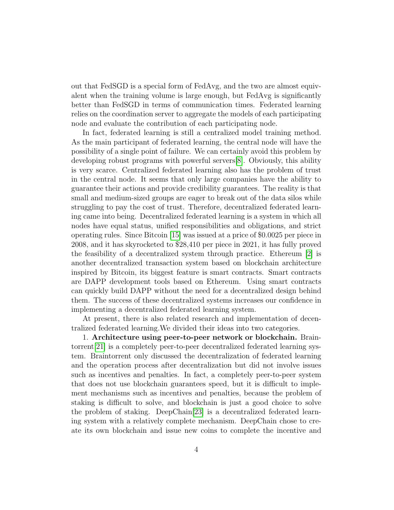out that FedSGD is a special form of FedAvg, and the two are almost equivalent when the training volume is large enough, but FedAvg is significantly better than FedSGD in terms of communication times. Federated learning relies on the coordination server to aggregate the models of each participating node and evaluate the contribution of each participating node.

In fact, federated learning is still a centralized model training method. As the main participant of federated learning, the central node will have the possibility of a single point of failure. We can certainly avoid this problem by developing robust programs with powerful servers[\[8\]](#page-34-0). Obviously, this ability is very scarce. Centralized federated learning also has the problem of trust in the central node. It seems that only large companies have the ability to guarantee their actions and provide credibility guarantees. The reality is that small and medium-sized groups are eager to break out of the data silos while struggling to pay the cost of trust. Therefore, decentralized federated learning came into being. Decentralized federated learning is a system in which all nodes have equal status, unified responsibilities and obligations, and strict operating rules. Since Bitcoin [\[15\]](#page-35-1) was issued at a price of \$0.0025 per piece in 2008, and it has skyrocketed to \$28,410 per piece in 2021, it has fully proved the feasibility of a decentralized system through practice. Ethereum [\[2\]](#page-34-1) is another decentralized transaction system based on blockchain architecture inspired by Bitcoin, its biggest feature is smart contracts. Smart contracts are DAPP development tools based on Ethereum. Using smart contracts can quickly build DAPP without the need for a decentralized design behind them. The success of these decentralized systems increases our confidence in implementing a decentralized federated learning system.

At present, there is also related research and implementation of decentralized federated learning.We divided their ideas into two categories.

1. Architecture using peer-to-peer network or blockchain. Braintorrent[\[21\]](#page-35-2) is a completely peer-to-peer decentralized federated learning system. Braintorrent only discussed the decentralization of federated learning and the operation process after decentralization but did not involve issues such as incentives and penalties. In fact, a completely peer-to-peer system that does not use blockchain guarantees speed, but it is difficult to implement mechanisms such as incentives and penalties, because the problem of staking is difficult to solve, and blockchain is just a good choice to solve the problem of staking. DeepChain[\[23\]](#page-36-0) is a decentralized federated learning system with a relatively complete mechanism. DeepChain chose to create its own blockchain and issue new coins to complete the incentive and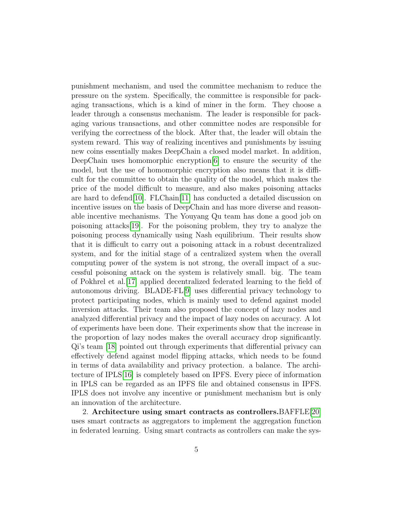punishment mechanism, and used the committee mechanism to reduce the pressure on the system. Specifically, the committee is responsible for packaging transactions, which is a kind of miner in the form. They choose a leader through a consensus mechanism. The leader is responsible for packaging various transactions, and other committee nodes are responsible for verifying the correctness of the block. After that, the leader will obtain the system reward. This way of realizing incentives and punishments by issuing new coins essentially makes DeepChain a closed model market. In addition, DeepChain uses homomorphic encryption[\[6\]](#page-34-2) to ensure the security of the model, but the use of homomorphic encryption also means that it is difficult for the committee to obtain the quality of the model, which makes the price of the model difficult to measure, and also makes poisoning attacks are hard to defend[\[10\]](#page-34-3). FLChain[\[11\]](#page-35-3) has conducted a detailed discussion on incentive issues on the basis of DeepChain and has more diverse and reasonable incentive mechanisms. The Youyang Qu team has done a good job on poisoning attacks[\[19\]](#page-35-4). For the poisoning problem, they try to analyze the poisoning process dynamically using Nash equilibrium. Their results show that it is difficult to carry out a poisoning attack in a robust decentralized system, and for the initial stage of a centralized system when the overall computing power of the system is not strong, the overall impact of a successful poisoning attack on the system is relatively small. big. The team of Pokhrel et al.[\[17\]](#page-35-5) applied decentralized federated learning to the field of autonomous driving. BLADE-FL[\[9\]](#page-34-4) uses differential privacy technology to protect participating nodes, which is mainly used to defend against model inversion attacks. Their team also proposed the concept of lazy nodes and analyzed differential privacy and the impact of lazy nodes on accuracy. A lot of experiments have been done. Their experiments show that the increase in the proportion of lazy nodes makes the overall accuracy drop significantly. Qi's team [\[18\]](#page-35-6) pointed out through experiments that differential privacy can effectively defend against model flipping attacks, which needs to be found in terms of data availability and privacy protection. a balance. The architecture of IPLS[\[16\]](#page-35-7) is completely based on IPFS. Every piece of information in IPLS can be regarded as an IPFS file and obtained consensus in IPFS. IPLS does not involve any incentive or punishment mechanism but is only an innovation of the architecture.

2. Architecture using smart contracts as controllers.BAFFLE[\[20\]](#page-35-8) uses smart contracts as aggregators to implement the aggregation function in federated learning. Using smart contracts as controllers can make the sys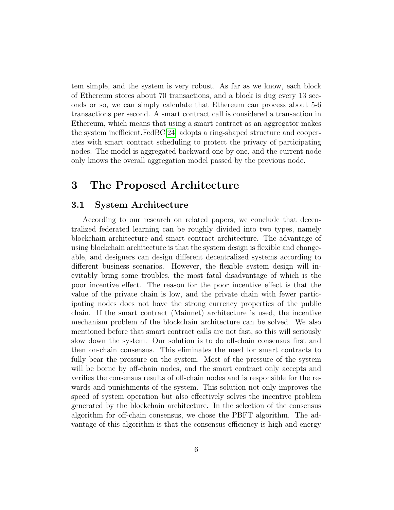tem simple, and the system is very robust. As far as we know, each block of Ethereum stores about 70 transactions, and a block is dug every 13 seconds or so, we can simply calculate that Ethereum can process about 5-6 transactions per second. A smart contract call is considered a transaction in Ethereum, which means that using a smart contract as an aggregator makes the system inefficient.FedBC[\[24\]](#page-36-1) adopts a ring-shaped structure and cooperates with smart contract scheduling to protect the privacy of participating nodes. The model is aggregated backward one by one, and the current node only knows the overall aggregation model passed by the previous node.

## 3 The Proposed Architecture

### 3.1 System Architecture

According to our research on related papers, we conclude that decentralized federated learning can be roughly divided into two types, namely blockchain architecture and smart contract architecture. The advantage of using blockchain architecture is that the system design is flexible and changeable, and designers can design different decentralized systems according to different business scenarios. However, the flexible system design will inevitably bring some troubles, the most fatal disadvantage of which is the poor incentive effect. The reason for the poor incentive effect is that the value of the private chain is low, and the private chain with fewer participating nodes does not have the strong currency properties of the public chain. If the smart contract (Mainnet) architecture is used, the incentive mechanism problem of the blockchain architecture can be solved. We also mentioned before that smart contract calls are not fast, so this will seriously slow down the system. Our solution is to do off-chain consensus first and then on-chain consensus. This eliminates the need for smart contracts to fully bear the pressure on the system. Most of the pressure of the system will be borne by off-chain nodes, and the smart contract only accepts and verifies the consensus results of off-chain nodes and is responsible for the rewards and punishments of the system. This solution not only improves the speed of system operation but also effectively solves the incentive problem generated by the blockchain architecture. In the selection of the consensus algorithm for off-chain consensus, we chose the PBFT algorithm. The advantage of this algorithm is that the consensus efficiency is high and energy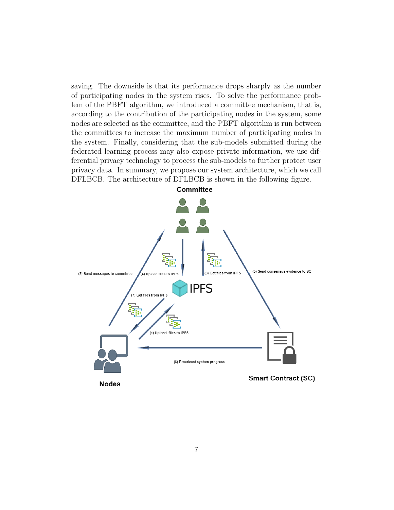saving. The downside is that its performance drops sharply as the number of participating nodes in the system rises. To solve the performance problem of the PBFT algorithm, we introduced a committee mechanism, that is, according to the contribution of the participating nodes in the system, some nodes are selected as the committee, and the PBFT algorithm is run between the committees to increase the maximum number of participating nodes in the system. Finally, considering that the sub-models submitted during the federated learning process may also expose private information, we use differential privacy technology to process the sub-models to further protect user privacy data. In summary, we propose our system architecture, which we call DFLBCB. The architecture of DFLBCB is shown in the following figure.

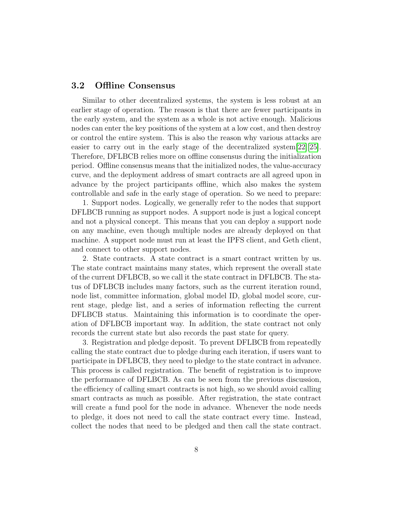#### 3.2 Offline Consensus

Similar to other decentralized systems, the system is less robust at an earlier stage of operation. The reason is that there are fewer participants in the early system, and the system as a whole is not active enough. Malicious nodes can enter the key positions of the system at a low cost, and then destroy or control the entire system. This is also the reason why various attacks are easier to carry out in the early stage of the decentralized system [\[22\]](#page-36-2)[\[25\]](#page-36-3). Therefore, DFLBCB relies more on offline consensus during the initialization period. Offline consensus means that the initialized nodes, the value-accuracy curve, and the deployment address of smart contracts are all agreed upon in advance by the project participants offline, which also makes the system controllable and safe in the early stage of operation. So we need to prepare:

1. Support nodes. Logically, we generally refer to the nodes that support DFLBCB running as support nodes. A support node is just a logical concept and not a physical concept. This means that you can deploy a support node on any machine, even though multiple nodes are already deployed on that machine. A support node must run at least the IPFS client, and Geth client, and connect to other support nodes.

2. State contracts. A state contract is a smart contract written by us. The state contract maintains many states, which represent the overall state of the current DFLBCB, so we call it the state contract in DFLBCB. The status of DFLBCB includes many factors, such as the current iteration round, node list, committee information, global model ID, global model score, current stage, pledge list, and a series of information reflecting the current DFLBCB status. Maintaining this information is to coordinate the operation of DFLBCB important way. In addition, the state contract not only records the current state but also records the past state for query.

3. Registration and pledge deposit. To prevent DFLBCB from repeatedly calling the state contract due to pledge during each iteration, if users want to participate in DFLBCB, they need to pledge to the state contract in advance. This process is called registration. The benefit of registration is to improve the performance of DFLBCB. As can be seen from the previous discussion, the efficiency of calling smart contracts is not high, so we should avoid calling smart contracts as much as possible. After registration, the state contract will create a fund pool for the node in advance. Whenever the node needs to pledge, it does not need to call the state contract every time. Instead, collect the nodes that need to be pledged and then call the state contract.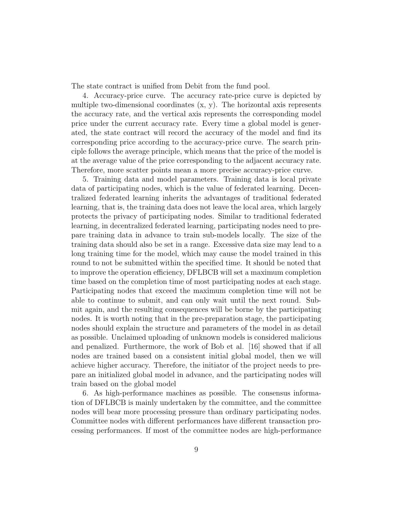The state contract is unified from Debit from the fund pool.

4. Accuracy-price curve. The accuracy rate-price curve is depicted by multiple two-dimensional coordinates (x, y). The horizontal axis represents the accuracy rate, and the vertical axis represents the corresponding model price under the current accuracy rate. Every time a global model is generated, the state contract will record the accuracy of the model and find its corresponding price according to the accuracy-price curve. The search principle follows the average principle, which means that the price of the model is at the average value of the price corresponding to the adjacent accuracy rate. Therefore, more scatter points mean a more precise accuracy-price curve.

5. Training data and model parameters. Training data is local private data of participating nodes, which is the value of federated learning. Decentralized federated learning inherits the advantages of traditional federated learning, that is, the training data does not leave the local area, which largely protects the privacy of participating nodes. Similar to traditional federated learning, in decentralized federated learning, participating nodes need to prepare training data in advance to train sub-models locally. The size of the training data should also be set in a range. Excessive data size may lead to a long training time for the model, which may cause the model trained in this round to not be submitted within the specified time. It should be noted that to improve the operation efficiency, DFLBCB will set a maximum completion time based on the completion time of most participating nodes at each stage. Participating nodes that exceed the maximum completion time will not be able to continue to submit, and can only wait until the next round. Submit again, and the resulting consequences will be borne by the participating nodes. It is worth noting that in the pre-preparation stage, the participating nodes should explain the structure and parameters of the model in as detail as possible. Unclaimed uploading of unknown models is considered malicious and penalized. Furthermore, the work of Bob et al. [16] showed that if all nodes are trained based on a consistent initial global model, then we will achieve higher accuracy. Therefore, the initiator of the project needs to prepare an initialized global model in advance, and the participating nodes will train based on the global model

6. As high-performance machines as possible. The consensus information of DFLBCB is mainly undertaken by the committee, and the committee nodes will bear more processing pressure than ordinary participating nodes. Committee nodes with different performances have different transaction processing performances. If most of the committee nodes are high-performance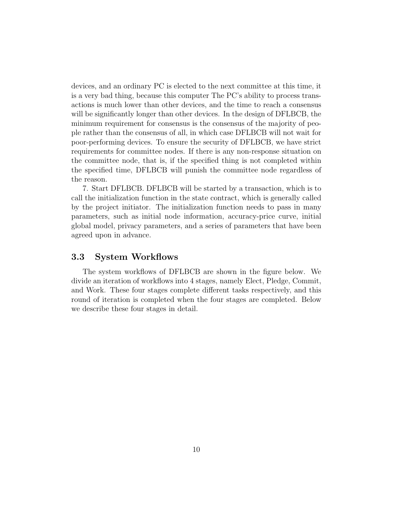devices, and an ordinary PC is elected to the next committee at this time, it is a very bad thing, because this computer The PC's ability to process transactions is much lower than other devices, and the time to reach a consensus will be significantly longer than other devices. In the design of DFLBCB, the minimum requirement for consensus is the consensus of the majority of people rather than the consensus of all, in which case DFLBCB will not wait for poor-performing devices. To ensure the security of DFLBCB, we have strict requirements for committee nodes. If there is any non-response situation on the committee node, that is, if the specified thing is not completed within the specified time, DFLBCB will punish the committee node regardless of the reason.

7. Start DFLBCB. DFLBCB will be started by a transaction, which is to call the initialization function in the state contract, which is generally called by the project initiator. The initialization function needs to pass in many parameters, such as initial node information, accuracy-price curve, initial global model, privacy parameters, and a series of parameters that have been agreed upon in advance.

#### 3.3 System Workflows

The system workflows of DFLBCB are shown in the figure below. We divide an iteration of workflows into 4 stages, namely Elect, Pledge, Commit, and Work. These four stages complete different tasks respectively, and this round of iteration is completed when the four stages are completed. Below we describe these four stages in detail.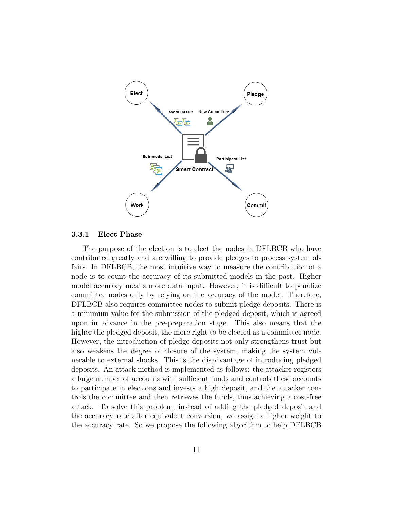

#### 3.3.1 Elect Phase

The purpose of the election is to elect the nodes in DFLBCB who have contributed greatly and are willing to provide pledges to process system affairs. In DFLBCB, the most intuitive way to measure the contribution of a node is to count the accuracy of its submitted models in the past. Higher model accuracy means more data input. However, it is difficult to penalize committee nodes only by relying on the accuracy of the model. Therefore, DFLBCB also requires committee nodes to submit pledge deposits. There is a minimum value for the submission of the pledged deposit, which is agreed upon in advance in the pre-preparation stage. This also means that the higher the pledged deposit, the more right to be elected as a committee node. However, the introduction of pledge deposits not only strengthens trust but also weakens the degree of closure of the system, making the system vulnerable to external shocks. This is the disadvantage of introducing pledged deposits. An attack method is implemented as follows: the attacker registers a large number of accounts with sufficient funds and controls these accounts to participate in elections and invests a high deposit, and the attacker controls the committee and then retrieves the funds, thus achieving a cost-free attack. To solve this problem, instead of adding the pledged deposit and the accuracy rate after equivalent conversion, we assign a higher weight to the accuracy rate. So we propose the following algorithm to help DFLBCB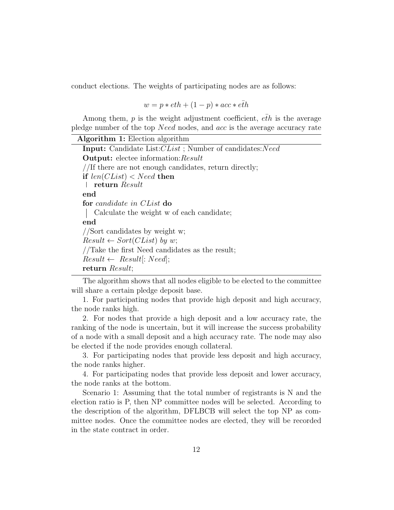conduct elections. The weights of participating nodes are as follows:

 $w = p * eth + (1 - p) * acc * e\bar{t}h$ 

Among them,  $p$  is the weight adjustment coefficient,  $e\bar{t}h$  is the average pledge number of the top Need nodes, and acc is the average accuracy rate

| <b>Algorithm 1:</b> Election algorithm                          |
|-----------------------------------------------------------------|
| <b>Input:</b> Candidate List: CList; Number of candidates: Need |
| <b>Output:</b> electee information: Result                      |
| //If there are not enough candidates, return directly;          |
| if $len(CList) < Need$ then                                     |
| return Result                                                   |
| end                                                             |
| for candidate in CList do                                       |
| Calculate the weight w of each candidate;                       |
| end                                                             |
| //Sort candidates by weight w;                                  |
| $Result \leftarrow Sort(Clist)$ by w;                           |
| //Take the first Need candidates as the result;                 |
| $Result \leftarrow Result[:Need];$                              |
| return Result;                                                  |

The algorithm shows that all nodes eligible to be elected to the committee will share a certain pledge deposit base.

1. For participating nodes that provide high deposit and high accuracy, the node ranks high.

2. For nodes that provide a high deposit and a low accuracy rate, the ranking of the node is uncertain, but it will increase the success probability of a node with a small deposit and a high accuracy rate. The node may also be elected if the node provides enough collateral.

3. For participating nodes that provide less deposit and high accuracy, the node ranks higher.

4. For participating nodes that provide less deposit and lower accuracy, the node ranks at the bottom.

Scenario 1: Assuming that the total number of registrants is N and the election ratio is P, then NP committee nodes will be selected. According to the description of the algorithm, DFLBCB will select the top NP as committee nodes. Once the committee nodes are elected, they will be recorded in the state contract in order.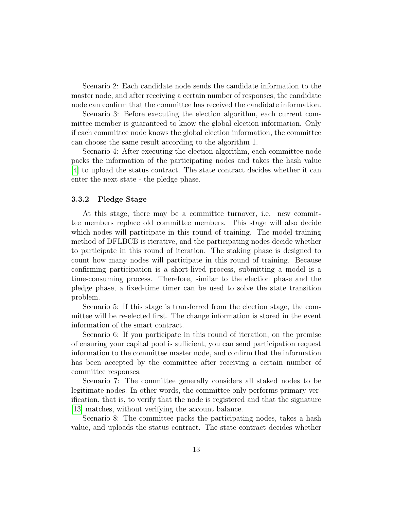Scenario 2: Each candidate node sends the candidate information to the master node, and after receiving a certain number of responses, the candidate node can confirm that the committee has received the candidate information.

Scenario 3: Before executing the election algorithm, each current committee member is guaranteed to know the global election information. Only if each committee node knows the global election information, the committee can choose the same result according to the algorithm 1.

Scenario 4: After executing the election algorithm, each committee node packs the information of the participating nodes and takes the hash value [\[4\]](#page-34-5) to upload the status contract. The state contract decides whether it can enter the next state - the pledge phase.

#### 3.3.2 Pledge Stage

At this stage, there may be a committee turnover, i.e. new committee members replace old committee members. This stage will also decide which nodes will participate in this round of training. The model training method of DFLBCB is iterative, and the participating nodes decide whether to participate in this round of iteration. The staking phase is designed to count how many nodes will participate in this round of training. Because confirming participation is a short-lived process, submitting a model is a time-consuming process. Therefore, similar to the election phase and the pledge phase, a fixed-time timer can be used to solve the state transition problem.

Scenario 5: If this stage is transferred from the election stage, the committee will be re-elected first. The change information is stored in the event information of the smart contract.

Scenario 6: If you participate in this round of iteration, on the premise of ensuring your capital pool is sufficient, you can send participation request information to the committee master node, and confirm that the information has been accepted by the committee after receiving a certain number of committee responses.

Scenario 7: The committee generally considers all staked nodes to be legitimate nodes. In other words, the committee only performs primary verification, that is, to verify that the node is registered and that the signature [\[13\]](#page-35-9) matches, without verifying the account balance.

Scenario 8: The committee packs the participating nodes, takes a hash value, and uploads the status contract. The state contract decides whether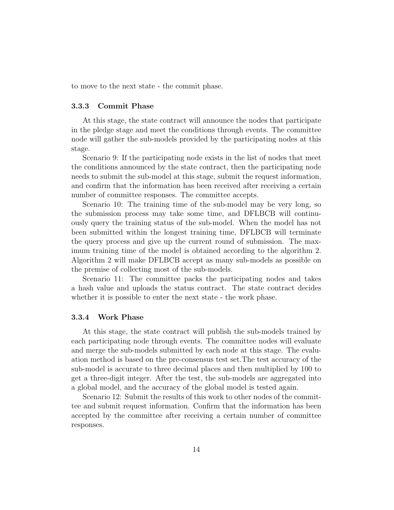to move to the next state - the commit phase.

#### 3.3.3 Commit Phase

At this stage, the state contract will announce the nodes that participate in the pledge stage and meet the conditions through events. The committee node will gather the sub-models provided by the participating nodes at this stage.

Scenario 9: If the participating node exists in the list of nodes that meet the conditions announced by the state contract, then the participating node needs to submit the sub-model at this stage, submit the request information, and confirm that the information has been received after receiving a certain number of committee responses. The committee accepts.

Scenario 10: The training time of the sub-model may be very long, so the submission process may take some time, and DFLBCB will continuously query the training status of the sub-model. When the model has not been submitted within the longest training time, DFLBCB will terminate the query process and give up the current round of submission. The maximum training time of the model is obtained according to the algorithm 2. Algorithm 2 will make DFLBCB accept as many sub-models as possible on the premise of collecting most of the sub-models.

Scenario 11: The committee packs the participating nodes and takes a hash value and uploads the status contract. The state contract decides whether it is possible to enter the next state - the work phase.

#### 3.3.4 Work Phase

At this stage, the state contract will publish the sub-models trained by each participating node through events. The committee nodes will evaluate and merge the sub-models submitted by each node at this stage. The evaluation method is based on the pre-consensus test set.The test accuracy of the sub-model is accurate to three decimal places and then multiplied by 100 to get a three-digit integer. After the test, the sub-models are aggregated into a global model, and the accuracy of the global model is tested again.

Scenario 12: Submit the results of this work to other nodes of the committee and submit request information. Confirm that the information has been accepted by the committee after receiving a certain number of committee responses.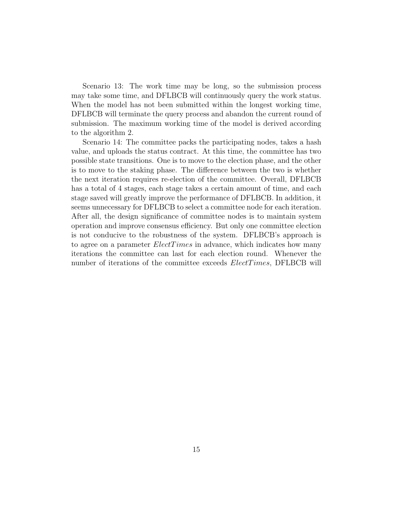Scenario 13: The work time may be long, so the submission process may take some time, and DFLBCB will continuously query the work status. When the model has not been submitted within the longest working time, DFLBCB will terminate the query process and abandon the current round of submission. The maximum working time of the model is derived according to the algorithm 2.

Scenario 14: The committee packs the participating nodes, takes a hash value, and uploads the status contract. At this time, the committee has two possible state transitions. One is to move to the election phase, and the other is to move to the staking phase. The difference between the two is whether the next iteration requires re-election of the committee. Overall, DFLBCB has a total of 4 stages, each stage takes a certain amount of time, and each stage saved will greatly improve the performance of DFLBCB. In addition, it seems unnecessary for DFLBCB to select a committee node for each iteration. After all, the design significance of committee nodes is to maintain system operation and improve consensus efficiency. But only one committee election is not conducive to the robustness of the system. DFLBCB's approach is to agree on a parameter  $Electrimes$  in advance, which indicates how many iterations the committee can last for each election round. Whenever the number of iterations of the committee exceeds  $Electromes$ , DFLBCB will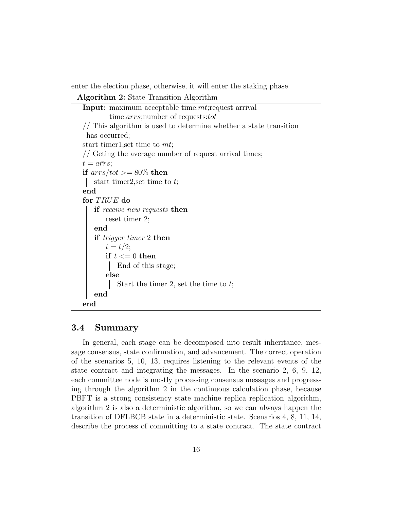enter the election phase, otherwise, it will enter the staking phase.

```
Algorithm 2: State Transition Algorithm
Input: maximum acceptable time:mt; request arrival
        time:arrs;number of requests:tot
// This algorithm is used to determine whether a state transition
 has occurred;
start timer1, set time to mt;
// Geting the average number of request arrival times;
t = a\bar{r}rs;
if arrs/tot >= 80\% then
   start timer2, set time to t;
end
for TRUE do
    if receive new requests then
       reset timer 2;
    end
    if trigger timer 2 then
       t = t/2;if t \leq 0 then
           End of this stage;
       else
           Start the timer 2, set the time to t;
    end
end
```
#### 3.4 Summary

In general, each stage can be decomposed into result inheritance, message consensus, state confirmation, and advancement. The correct operation of the scenarios 5, 10, 13, requires listening to the relevant events of the state contract and integrating the messages. In the scenario 2, 6, 9, 12, each committee node is mostly processing consensus messages and progressing through the algorithm 2 in the continuous calculation phase, because PBFT is a strong consistency state machine replica replication algorithm, algorithm 2 is also a deterministic algorithm, so we can always happen the transition of DFLBCB state in a deterministic state. Scenarios 4, 8, 11, 14, describe the process of committing to a state contract. The state contract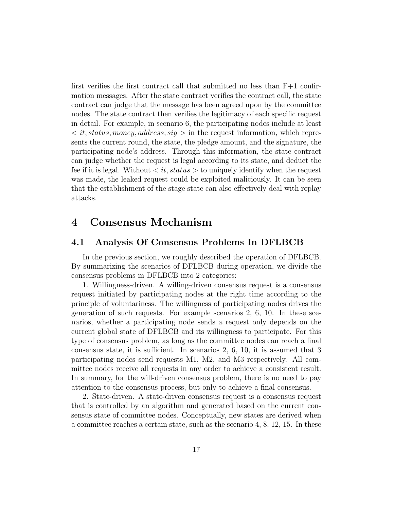first verifies the first contract call that submitted no less than F+1 confirmation messages. After the state contract verifies the contract call, the state contract can judge that the message has been agreed upon by the committee nodes. The state contract then verifies the legitimacy of each specific request in detail. For example, in scenario 6, the participating nodes include at least  $\langle t, status, money, address, sig \rangle$  in the request information, which represents the current round, the state, the pledge amount, and the signature, the participating node's address. Through this information, the state contract can judge whether the request is legal according to its state, and deduct the fee if it is legal. Without  $\langle it, status \rangle$  to uniquely identify when the request was made, the leaked request could be exploited maliciously. It can be seen that the establishment of the stage state can also effectively deal with replay attacks.

## 4 Consensus Mechanism

### 4.1 Analysis Of Consensus Problems In DFLBCB

In the previous section, we roughly described the operation of DFLBCB. By summarizing the scenarios of DFLBCB during operation, we divide the consensus problems in DFLBCB into 2 categories:

1. Willingness-driven. A willing-driven consensus request is a consensus request initiated by participating nodes at the right time according to the principle of voluntariness. The willingness of participating nodes drives the generation of such requests. For example scenarios 2, 6, 10. In these scenarios, whether a participating node sends a request only depends on the current global state of DFLBCB and its willingness to participate. For this type of consensus problem, as long as the committee nodes can reach a final consensus state, it is sufficient. In scenarios 2, 6, 10, it is assumed that 3 participating nodes send requests M1, M2, and M3 respectively. All committee nodes receive all requests in any order to achieve a consistent result. In summary, for the will-driven consensus problem, there is no need to pay attention to the consensus process, but only to achieve a final consensus.

2. State-driven. A state-driven consensus request is a consensus request that is controlled by an algorithm and generated based on the current consensus state of committee nodes. Conceptually, new states are derived when a committee reaches a certain state, such as the scenario 4, 8, 12, 15. In these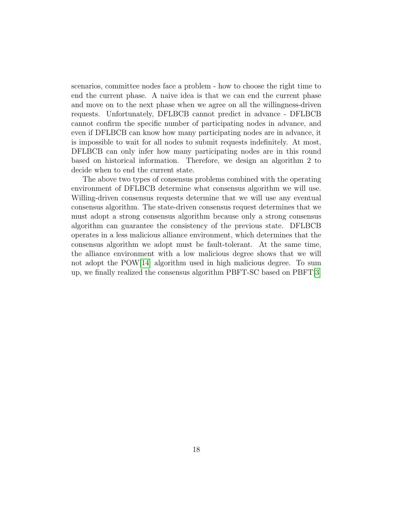scenarios, committee nodes face a problem - how to choose the right time to end the current phase. A naive idea is that we can end the current phase and move on to the next phase when we agree on all the willingness-driven requests. Unfortunately, DFLBCB cannot predict in advance - DFLBCB cannot confirm the specific number of participating nodes in advance, and even if DFLBCB can know how many participating nodes are in advance, it is impossible to wait for all nodes to submit requests indefinitely. At most, DFLBCB can only infer how many participating nodes are in this round based on historical information. Therefore, we design an algorithm 2 to decide when to end the current state.

The above two types of consensus problems combined with the operating environment of DFLBCB determine what consensus algorithm we will use. Willing-driven consensus requests determine that we will use any eventual consensus algorithm. The state-driven consensus request determines that we must adopt a strong consensus algorithm because only a strong consensus algorithm can guarantee the consistency of the previous state. DFLBCB operates in a less malicious alliance environment, which determines that the consensus algorithm we adopt must be fault-tolerant. At the same time, the alliance environment with a low malicious degree shows that we will not adopt the POW[\[14\]](#page-35-10) algorithm used in high malicious degree. To sum up, we finally realized the consensus algorithm PBFT-SC based on PBFT[\[3\]](#page-34-6)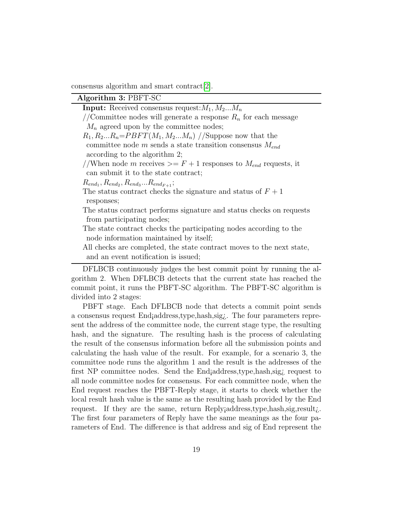consensus algorithm and smart contract[\[2\]](#page-34-1).

#### Algorithm 3: PBFT-SC

**Input:** Received consensus request:  $M_1, M_2...M_n$ 

//Committee nodes will generate a response  $R_n$  for each message  $M_n$  agreed upon by the committee nodes;

 $R_1, R_2...R_n = PBFT(M_1, M_2...M_n)$  //Suppose now that the committee node  $m$  sends a state transition consensus  $M_{end}$ according to the algorithm 2;

//When node m receives  $\geq F+1$  responses to  $M_{end}$  requests, it can submit it to the state contract;

 $R_{end_1}, R_{end_2}, R_{end_3}...R_{end_{F+1}};$ 

The status contract checks the signature and status of  $F + 1$ responses;

The status contract performs signature and status checks on requests from participating nodes;

The state contract checks the participating nodes according to the node information maintained by itself;

All checks are completed, the state contract moves to the next state, and an event notification is issued;

DFLBCB continuously judges the best commit point by running the algorithm 2. When DFLBCB detects that the current state has reached the commit point, it runs the PBFT-SC algorithm. The PBFT-SC algorithm is divided into 2 stages:

PBFT stage. Each DFLBCB node that detects a commit point sends a consensus request End¡address,type,hash,sig¿. The four parameters represent the address of the committee node, the current stage type, the resulting hash, and the signature. The resulting hash is the process of calculating the result of the consensus information before all the submission points and calculating the hash value of the result. For example, for a scenario 3, the committee node runs the algorithm 1 and the result is the addresses of the first NP committee nodes. Send the End¡address,type,hash,sig¿ request to all node committee nodes for consensus. For each committee node, when the End request reaches the PBFT-Reply stage, it starts to check whether the local result hash value is the same as the resulting hash provided by the End request. If they are the same, return Reply¡address,type,hash,sig,result¿. The first four parameters of Reply have the same meanings as the four parameters of End. The difference is that address and sig of End represent the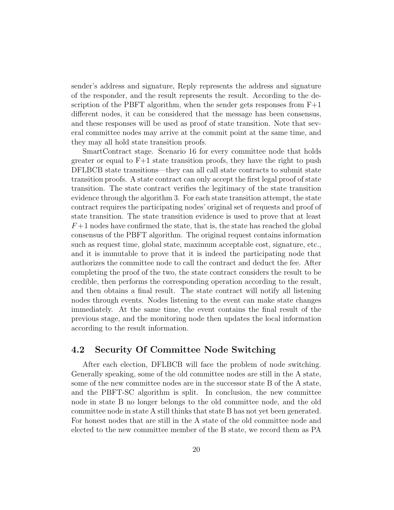sender's address and signature, Reply represents the address and signature of the responder, and the result represents the result. According to the description of the PBFT algorithm, when the sender gets responses from  $F+1$ different nodes, it can be considered that the message has been consensus, and these responses will be used as proof of state transition. Note that several committee nodes may arrive at the commit point at the same time, and they may all hold state transition proofs.

SmartContract stage. Scenario 16 for every committee node that holds greater or equal to  $F+1$  state transition proofs, they have the right to push DFLBCB state transitions—they can all call state contracts to submit state transition proofs. A state contract can only accept the first legal proof of state transition. The state contract verifies the legitimacy of the state transition evidence through the algorithm 3. For each state transition attempt, the state contract requires the participating nodes' original set of requests and proof of state transition. The state transition evidence is used to prove that at least  $F+1$  nodes have confirmed the state, that is, the state has reached the global consensus of the PBFT algorithm. The original request contains information such as request time, global state, maximum acceptable cost, signature, etc., and it is immutable to prove that it is indeed the participating node that authorizes the committee node to call the contract and deduct the fee. After completing the proof of the two, the state contract considers the result to be credible, then performs the corresponding operation according to the result, and then obtains a final result. The state contract will notify all listening nodes through events. Nodes listening to the event can make state changes immediately. At the same time, the event contains the final result of the previous stage, and the monitoring node then updates the local information according to the result information.

### 4.2 Security Of Committee Node Switching

After each election, DFLBCB will face the problem of node switching. Generally speaking, some of the old committee nodes are still in the A state, some of the new committee nodes are in the successor state B of the A state, and the PBFT-SC algorithm is split. In conclusion, the new committee node in state B no longer belongs to the old committee node, and the old committee node in state A still thinks that state B has not yet been generated. For honest nodes that are still in the A state of the old committee node and elected to the new committee member of the B state, we record them as PA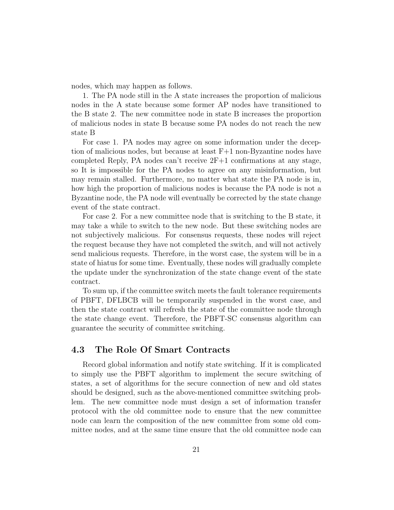nodes, which may happen as follows.

1. The PA node still in the A state increases the proportion of malicious nodes in the A state because some former AP nodes have transitioned to the B state 2. The new committee node in state B increases the proportion of malicious nodes in state B because some PA nodes do not reach the new state B

For case 1. PA nodes may agree on some information under the deception of malicious nodes, but because at least F+1 non-Byzantine nodes have completed Reply, PA nodes can't receive 2F+1 confirmations at any stage, so It is impossible for the PA nodes to agree on any misinformation, but may remain stalled. Furthermore, no matter what state the PA node is in, how high the proportion of malicious nodes is because the PA node is not a Byzantine node, the PA node will eventually be corrected by the state change event of the state contract.

For case 2. For a new committee node that is switching to the B state, it may take a while to switch to the new node. But these switching nodes are not subjectively malicious. For consensus requests, these nodes will reject the request because they have not completed the switch, and will not actively send malicious requests. Therefore, in the worst case, the system will be in a state of hiatus for some time. Eventually, these nodes will gradually complete the update under the synchronization of the state change event of the state contract.

To sum up, if the committee switch meets the fault tolerance requirements of PBFT, DFLBCB will be temporarily suspended in the worst case, and then the state contract will refresh the state of the committee node through the state change event. Therefore, the PBFT-SC consensus algorithm can guarantee the security of committee switching.

### 4.3 The Role Of Smart Contracts

Record global information and notify state switching. If it is complicated to simply use the PBFT algorithm to implement the secure switching of states, a set of algorithms for the secure connection of new and old states should be designed, such as the above-mentioned committee switching problem. The new committee node must design a set of information transfer protocol with the old committee node to ensure that the new committee node can learn the composition of the new committee from some old committee nodes, and at the same time ensure that the old committee node can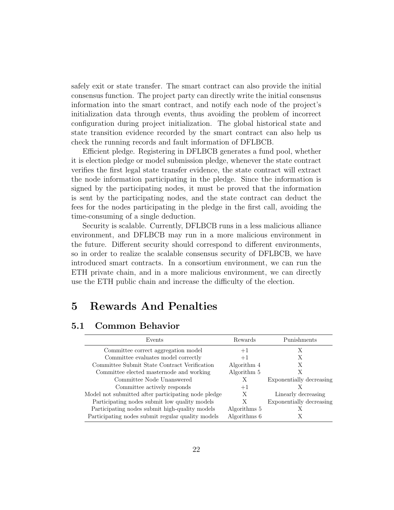safely exit or state transfer. The smart contract can also provide the initial consensus function. The project party can directly write the initial consensus information into the smart contract, and notify each node of the project's initialization data through events, thus avoiding the problem of incorrect configuration during project initialization. The global historical state and state transition evidence recorded by the smart contract can also help us check the running records and fault information of DFLBCB.

Efficient pledge. Registering in DFLBCB generates a fund pool, whether it is election pledge or model submission pledge, whenever the state contract verifies the first legal state transfer evidence, the state contract will extract the node information participating in the pledge. Since the information is signed by the participating nodes, it must be proved that the information is sent by the participating nodes, and the state contract can deduct the fees for the nodes participating in the pledge in the first call, avoiding the time-consuming of a single deduction.

Security is scalable. Currently, DFLBCB runs in a less malicious alliance environment, and DFLBCB may run in a more malicious environment in the future. Different security should correspond to different environments, so in order to realize the scalable consensus security of DFLBCB, we have introduced smart contracts. In a consortium environment, we can run the ETH private chain, and in a more malicious environment, we can directly use the ETH public chain and increase the difficulty of the election.

## 5 Rewards And Penalties

### 5.1 Common Behavior

| Events                                              | Rewards      | Punishments              |
|-----------------------------------------------------|--------------|--------------------------|
| Committee correct aggregation model                 | $+1$         | X                        |
| Committee evaluates model correctly                 | $+1$         |                          |
| Committee Submit State Contract Verification        | Algorithm 4  | X                        |
| Committee elected masternode and working            | Algorithm 5  |                          |
| Committee Node Unanswered                           | Х            | Exponentially decreasing |
| Committee actively responds                         | $+1$         |                          |
| Model not submitted after participating node pledge | X            | Linearly decreasing      |
| Participating nodes submit low quality models       | X            | Exponentially decreasing |
| Participating nodes submit high-quality models      | Algorithms 5 |                          |
| Participating nodes submit regular quality models   | Algorithms 6 |                          |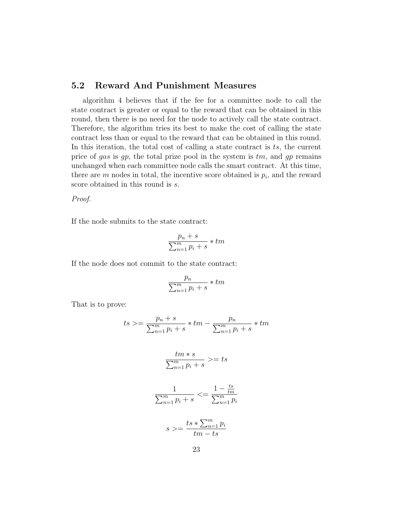### 5.2 Reward And Punishment Measures

algorithm 4 believes that if the fee for a committee node to call the state contract is greater or equal to the reward that can be obtained in this round, then there is no need for the node to actively call the state contract. Therefore, the algorithm tries its best to make the cost of calling the state contract less than or equal to the reward that can be obtained in this round. In this iteration, the total cost of calling a state contract is  $ts$ , the current price of gas is gp, the total prize pool in the system is  $tm$ , and gp remains unchanged when each committee node calls the smart contract. At this time, there are  $m$  nodes in total, the incentive score obtained is  $p_i$ , and the reward score obtained in this round is  $s$ .

Proof.

If the node submits to the state contract:

$$
\frac{p_n + s}{\sum_{n=1}^m p_i + s} * tm
$$

If the node does not commit to the state contract:

$$
\frac{p_n}{\sum_{n=1}^m p_i + s} * tm
$$

That is to prove:

$$
ts \ge \frac{p_n + s}{\sum_{n=1}^m p_i + s} * tm - \frac{p_n}{\sum_{n=1}^m p_i + s} * tm
$$
  

$$
\frac{tm*s}{\sum_{n=1}^m p_i + s} \ge ts
$$
  

$$
\frac{1}{\sum_{n=1}^m p_i + s} \le \frac{1 - \frac{ts}{tm}}{\sum_{n=1}^m p_i}
$$

$$
s >= \frac{ts * \sum_{n=1}^{m} p_i}{tm - ts}
$$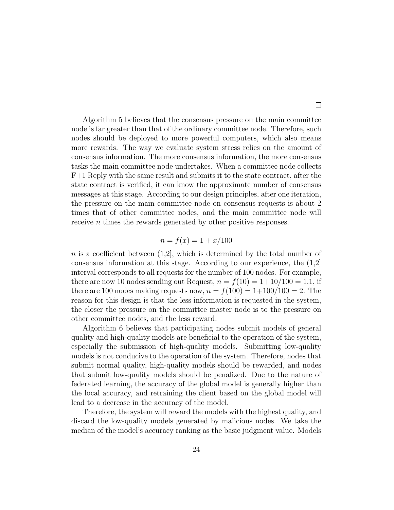Algorithm 5 believes that the consensus pressure on the main committee node is far greater than that of the ordinary committee node. Therefore, such nodes should be deployed to more powerful computers, which also means more rewards. The way we evaluate system stress relies on the amount of consensus information. The more consensus information, the more consensus tasks the main committee node undertakes. When a committee node collects F+1 Reply with the same result and submits it to the state contract, after the state contract is verified, it can know the approximate number of consensus messages at this stage. According to our design principles, after one iteration, the pressure on the main committee node on consensus requests is about 2 times that of other committee nodes, and the main committee node will receive *n* times the rewards generated by other positive responses.

$$
n = f(x) = 1 + x/100
$$

n is a coefficient between  $(1,2]$ , which is determined by the total number of consensus information at this stage. According to our experience, the (1,2] interval corresponds to all requests for the number of 100 nodes. For example, there are now 10 nodes sending out Request,  $n = f(10) = 1+10/100 = 1.1$ , if there are 100 nodes making requests now,  $n = f(100) = 1+100/100 = 2$ . The reason for this design is that the less information is requested in the system, the closer the pressure on the committee master node is to the pressure on other committee nodes, and the less reward.

Algorithm 6 believes that participating nodes submit models of general quality and high-quality models are beneficial to the operation of the system, especially the submission of high-quality models. Submitting low-quality models is not conducive to the operation of the system. Therefore, nodes that submit normal quality, high-quality models should be rewarded, and nodes that submit low-quality models should be penalized. Due to the nature of federated learning, the accuracy of the global model is generally higher than the local accuracy, and retraining the client based on the global model will lead to a decrease in the accuracy of the model.

Therefore, the system will reward the models with the highest quality, and discard the low-quality models generated by malicious nodes. We take the median of the model's accuracy ranking as the basic judgment value. Models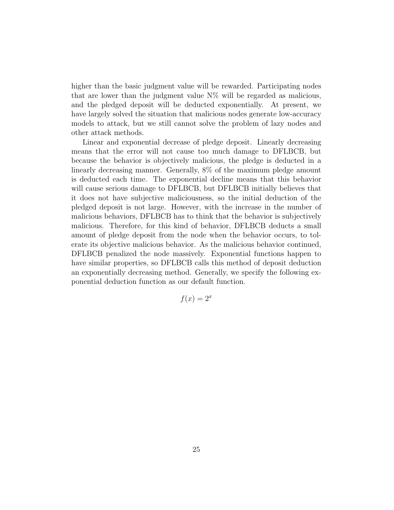higher than the basic judgment value will be rewarded. Participating nodes that are lower than the judgment value  $N\%$  will be regarded as malicious, and the pledged deposit will be deducted exponentially. At present, we have largely solved the situation that malicious nodes generate low-accuracy models to attack, but we still cannot solve the problem of lazy nodes and other attack methods.

Linear and exponential decrease of pledge deposit. Linearly decreasing means that the error will not cause too much damage to DFLBCB, but because the behavior is objectively malicious, the pledge is deducted in a linearly decreasing manner. Generally, 8% of the maximum pledge amount is deducted each time. The exponential decline means that this behavior will cause serious damage to DFLBCB, but DFLBCB initially believes that it does not have subjective maliciousness, so the initial deduction of the pledged deposit is not large. However, with the increase in the number of malicious behaviors, DFLBCB has to think that the behavior is subjectively malicious. Therefore, for this kind of behavior, DFLBCB deducts a small amount of pledge deposit from the node when the behavior occurs, to tolerate its objective malicious behavior. As the malicious behavior continued, DFLBCB penalized the node massively. Exponential functions happen to have similar properties, so DFLBCB calls this method of deposit deduction an exponentially decreasing method. Generally, we specify the following exponential deduction function as our default function.

$$
f(x) = 2^x
$$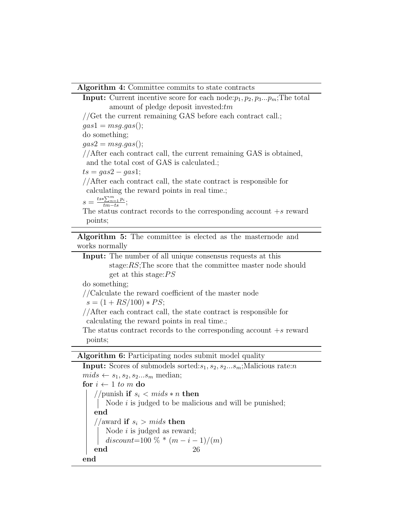#### Algorithm 4: Committee commits to state contracts

**Input:** Current incentive score for each node: $p_1, p_2, p_3...p_m$ ; The total amount of pledge deposit invested: $tm$ //Get the current remaining GAS before each contract call.;  $gas1 = msg.gas($ ); do something;  $gas2 = mg.gas$ ); //After each contract call, the current remaining GAS is obtained, and the total cost of GAS is calculated.;  $ts = gas2 - gas1;$ //After each contract call, the state contract is responsible for calculating the reward points in real time.;  $s = \frac{ts * \sum_{n=1}^{m} p_i}{tm - ts};$ The status contract records to the corresponding account  $+s$  reward points;

Algorithm 5: The committee is elected as the masternode and works normally

Input: The number of all unique consensus requests at this stage:RS;The score that the committee master node should get at this stage: $PS$ 

do something;

//Calculate the reward coefficient of the master node

 $s = (1 + RS/100) * PS;$ 

//After each contract call, the state contract is responsible for calculating the reward points in real time.;

The status contract records to the corresponding account  $+s$  reward points;

Algorithm 6: Participating nodes submit model quality

**Input:** Scores of submodels sorted: $s_1, s_2, s_2...s_m$ ; Malicious rate:*n*  $mids \leftarrow s_1, s_2, s_2...s_m$  median; for  $i \leftarrow 1$  to m do //punish if  $s_i < mids * n$  then Node  $i$  is judged to be malicious and will be punished; end //award if  $s_i > mids$  then Node  $i$  is judged as reward; discount=100 % \*  $(m - i - 1)/(m)$ end end 26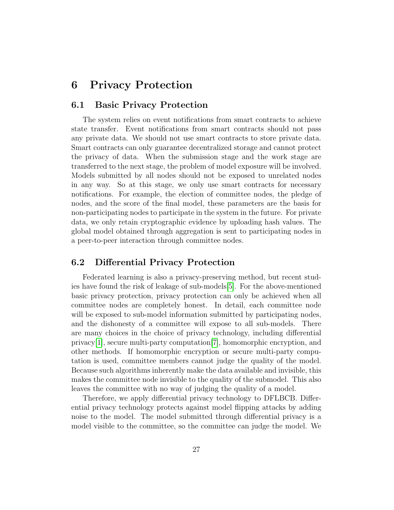## 6 Privacy Protection

#### 6.1 Basic Privacy Protection

The system relies on event notifications from smart contracts to achieve state transfer. Event notifications from smart contracts should not pass any private data. We should not use smart contracts to store private data. Smart contracts can only guarantee decentralized storage and cannot protect the privacy of data. When the submission stage and the work stage are transferred to the next stage, the problem of model exposure will be involved. Models submitted by all nodes should not be exposed to unrelated nodes in any way. So at this stage, we only use smart contracts for necessary notifications. For example, the election of committee nodes, the pledge of nodes, and the score of the final model, these parameters are the basis for non-participating nodes to participate in the system in the future. For private data, we only retain cryptographic evidence by uploading hash values. The global model obtained through aggregation is sent to participating nodes in a peer-to-peer interaction through committee nodes.

### 6.2 Differential Privacy Protection

Federated learning is also a privacy-preserving method, but recent studies have found the risk of leakage of sub-models[\[5\]](#page-34-7). For the above-mentioned basic privacy protection, privacy protection can only be achieved when all committee nodes are completely honest. In detail, each committee node will be exposed to sub-model information submitted by participating nodes, and the dishonesty of a committee will expose to all sub-models. There are many choices in the choice of privacy technology, including differential privacy[\[1\]](#page-34-8), secure multi-party computation[\[7\]](#page-34-9), homomorphic encryption, and other methods. If homomorphic encryption or secure multi-party computation is used, committee members cannot judge the quality of the model. Because such algorithms inherently make the data available and invisible, this makes the committee node invisible to the quality of the submodel. This also leaves the committee with no way of judging the quality of a model.

Therefore, we apply differential privacy technology to DFLBCB. Differential privacy technology protects against model flipping attacks by adding noise to the model. The model submitted through differential privacy is a model visible to the committee, so the committee can judge the model. We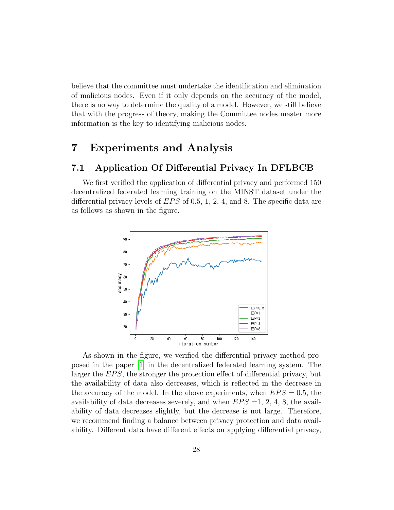believe that the committee must undertake the identification and elimination of malicious nodes. Even if it only depends on the accuracy of the model, there is no way to determine the quality of a model. However, we still believe that with the progress of theory, making the Committee nodes master more information is the key to identifying malicious nodes.

## 7 Experiments and Analysis

### 7.1 Application Of Differential Privacy In DFLBCB

We first verified the application of differential privacy and performed 150 decentralized federated learning training on the MINST dataset under the differential privacy levels of  $EPS$  of 0.5, 1, 2, 4, and 8. The specific data are as follows as shown in the figure.



As shown in the figure, we verified the differential privacy method proposed in the paper [\[1\]](#page-34-8) in the decentralized federated learning system. The larger the EPS, the stronger the protection effect of differential privacy, but the availability of data also decreases, which is reflected in the decrease in the accuracy of the model. In the above experiments, when  $EPS = 0.5$ , the availability of data decreases severely, and when  $EPS = 1, 2, 4, 8$ , the availability of data decreases slightly, but the decrease is not large. Therefore, we recommend finding a balance between privacy protection and data availability. Different data have different effects on applying differential privacy,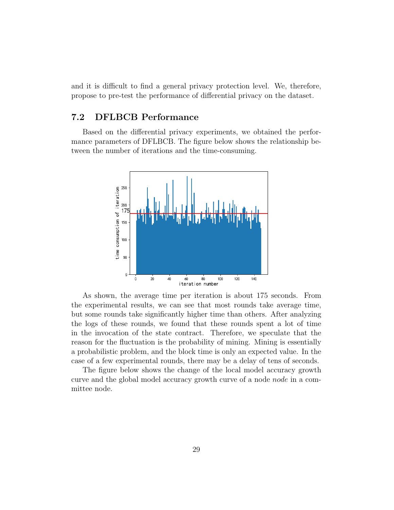and it is difficult to find a general privacy protection level. We, therefore, propose to pre-test the performance of differential privacy on the dataset.

### 7.2 DFLBCB Performance

Based on the differential privacy experiments, we obtained the performance parameters of DFLBCB. The figure below shows the relationship between the number of iterations and the time-consuming.



As shown, the average time per iteration is about 175 seconds. From the experimental results, we can see that most rounds take average time, but some rounds take significantly higher time than others. After analyzing the logs of these rounds, we found that these rounds spent a lot of time in the invocation of the state contract. Therefore, we speculate that the reason for the fluctuation is the probability of mining. Mining is essentially a probabilistic problem, and the block time is only an expected value. In the case of a few experimental rounds, there may be a delay of tens of seconds.

The figure below shows the change of the local model accuracy growth curve and the global model accuracy growth curve of a node node in a committee node.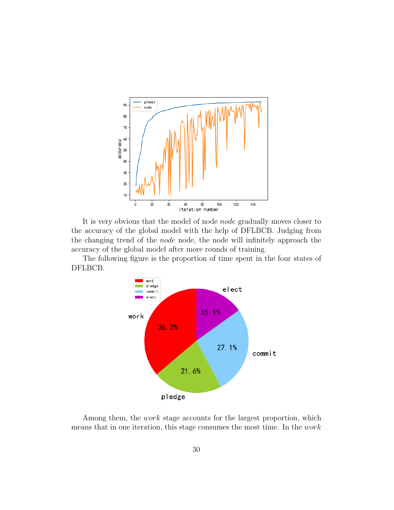

It is very obvious that the model of node node gradually moves closer to the accuracy of the global model with the help of DFLBCB. Judging from the changing trend of the node node, the node will infinitely approach the accuracy of the global model after more rounds of training.

The following figure is the proportion of time spent in the four states of DFLBCB.



Among them, the *work* stage accounts for the largest proportion, which means that in one iteration, this stage consumes the most time. In the work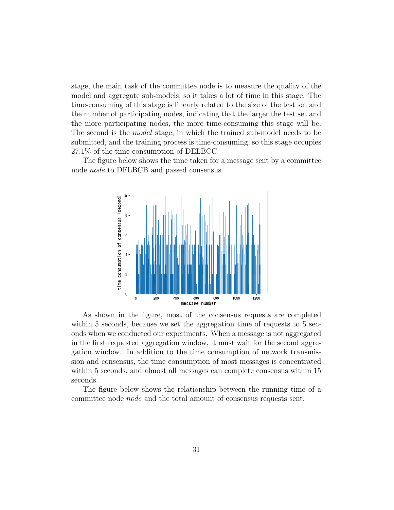stage, the main task of the committee node is to measure the quality of the model and aggregate sub-models, so it takes a lot of time in this stage. The time-consuming of this stage is linearly related to the size of the test set and the number of participating nodes, indicating that the larger the test set and the more participating nodes, the more time-consuming this stage will be. The second is the model stage, in which the trained sub-model needs to be submitted, and the training process is time-consuming, so this stage occupies 27.1% of the time consumption of DELBCC.

The figure below shows the time taken for a message sent by a committee node node to DFLBCB and passed consensus.



As shown in the figure, most of the consensus requests are completed within 5 seconds, because we set the aggregation time of requests to 5 seconds when we conducted our experiments. When a message is not aggregated in the first requested aggregation window, it must wait for the second aggregation window. In addition to the time consumption of network transmission and consensus, the time consumption of most messages is concentrated within 5 seconds, and almost all messages can complete consensus within 15 seconds.

The figure below shows the relationship between the running time of a committee node node and the total amount of consensus requests sent.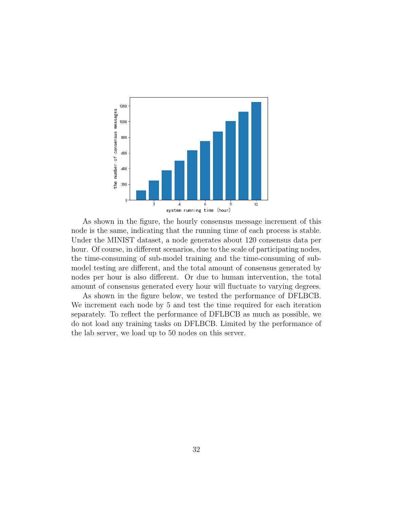

As shown in the figure, the hourly consensus message increment of this node is the same, indicating that the running time of each process is stable. Under the MINIST dataset, a node generates about 120 consensus data per hour. Of course, in different scenarios, due to the scale of participating nodes, the time-consuming of sub-model training and the time-consuming of submodel testing are different, and the total amount of consensus generated by nodes per hour is also different. Or due to human intervention, the total amount of consensus generated every hour will fluctuate to varying degrees.

As shown in the figure below, we tested the performance of DFLBCB. We increment each node by 5 and test the time required for each iteration separately. To reflect the performance of DFLBCB as much as possible, we do not load any training tasks on DFLBCB. Limited by the performance of the lab server, we load up to 50 nodes on this server.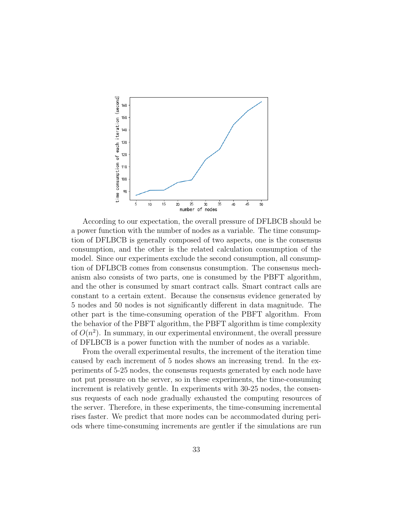

According to our expectation, the overall pressure of DFLBCB should be a power function with the number of nodes as a variable. The time consumption of DFLBCB is generally composed of two aspects, one is the consensus consumption, and the other is the related calculation consumption of the model. Since our experiments exclude the second consumption, all consumption of DFLBCB comes from consensus consumption. The consensus mechanism also consists of two parts, one is consumed by the PBFT algorithm, and the other is consumed by smart contract calls. Smart contract calls are constant to a certain extent. Because the consensus evidence generated by 5 nodes and 50 nodes is not significantly different in data magnitude. The other part is the time-consuming operation of the PBFT algorithm. From the behavior of the PBFT algorithm, the PBFT algorithm is time complexity of  $O(n^2)$ . In summary, in our experimental environment, the overall pressure of DFLBCB is a power function with the number of nodes as a variable.

From the overall experimental results, the increment of the iteration time caused by each increment of 5 nodes shows an increasing trend. In the experiments of 5-25 nodes, the consensus requests generated by each node have not put pressure on the server, so in these experiments, the time-consuming increment is relatively gentle. In experiments with 30-25 nodes, the consensus requests of each node gradually exhausted the computing resources of the server. Therefore, in these experiments, the time-consuming incremental rises faster. We predict that more nodes can be accommodated during periods where time-consuming increments are gentler if the simulations are run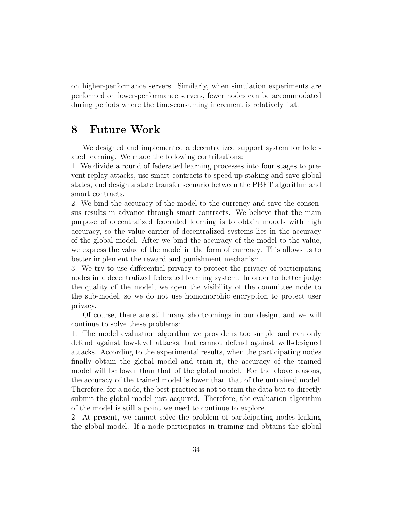on higher-performance servers. Similarly, when simulation experiments are performed on lower-performance servers, fewer nodes can be accommodated during periods where the time-consuming increment is relatively flat.

### 8 Future Work

We designed and implemented a decentralized support system for federated learning. We made the following contributions:

1. We divide a round of federated learning processes into four stages to prevent replay attacks, use smart contracts to speed up staking and save global states, and design a state transfer scenario between the PBFT algorithm and smart contracts.

2. We bind the accuracy of the model to the currency and save the consensus results in advance through smart contracts. We believe that the main purpose of decentralized federated learning is to obtain models with high accuracy, so the value carrier of decentralized systems lies in the accuracy of the global model. After we bind the accuracy of the model to the value, we express the value of the model in the form of currency. This allows us to better implement the reward and punishment mechanism.

3. We try to use differential privacy to protect the privacy of participating nodes in a decentralized federated learning system. In order to better judge the quality of the model, we open the visibility of the committee node to the sub-model, so we do not use homomorphic encryption to protect user privacy.

Of course, there are still many shortcomings in our design, and we will continue to solve these problems:

1. The model evaluation algorithm we provide is too simple and can only defend against low-level attacks, but cannot defend against well-designed attacks. According to the experimental results, when the participating nodes finally obtain the global model and train it, the accuracy of the trained model will be lower than that of the global model. For the above reasons, the accuracy of the trained model is lower than that of the untrained model. Therefore, for a node, the best practice is not to train the data but to directly submit the global model just acquired. Therefore, the evaluation algorithm of the model is still a point we need to continue to explore.

2. At present, we cannot solve the problem of participating nodes leaking the global model. If a node participates in training and obtains the global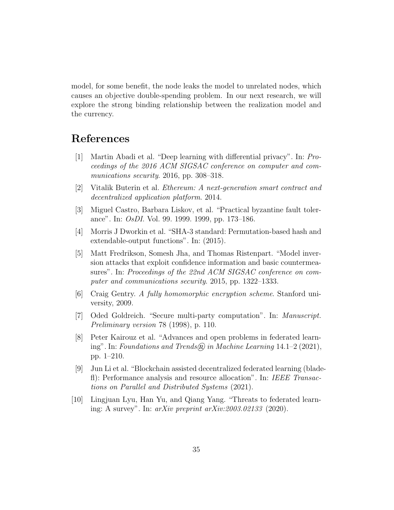model, for some benefit, the node leaks the model to unrelated nodes, which causes an objective double-spending problem. In our next research, we will explore the strong binding relationship between the realization model and the currency.

## References

- <span id="page-34-8"></span>[1] Martin Abadi et al. "Deep learning with differential privacy". In: Proceedings of the 2016 ACM SIGSAC conference on computer and communications security. 2016, pp. 308–318.
- <span id="page-34-1"></span>[2] Vitalik Buterin et al. Ethereum: A next-generation smart contract and decentralized application platform. 2014.
- <span id="page-34-6"></span>[3] Miguel Castro, Barbara Liskov, et al. "Practical byzantine fault tolerance". In: OsDI. Vol. 99. 1999. 1999, pp. 173–186.
- <span id="page-34-5"></span>[4] Morris J Dworkin et al. "SHA-3 standard: Permutation-based hash and extendable-output functions". In: (2015).
- <span id="page-34-7"></span>[5] Matt Fredrikson, Somesh Jha, and Thomas Ristenpart. "Model inversion attacks that exploit confidence information and basic countermeasures". In: Proceedings of the 22nd ACM SIGSAC conference on computer and communications security. 2015, pp. 1322–1333.
- <span id="page-34-2"></span>[6] Craig Gentry. A fully homomorphic encryption scheme. Stanford university, 2009.
- <span id="page-34-9"></span>[7] Oded Goldreich. "Secure multi-party computation". In: Manuscript. Preliminary version 78 (1998), p. 110.
- <span id="page-34-0"></span>[8] Peter Kairouz et al. "Advances and open problems in federated learning". In: Foundations and Trends@ in Machine Learning  $14.1-2$  (2021), pp. 1–210.
- <span id="page-34-4"></span>[9] Jun Li et al. "Blockchain assisted decentralized federated learning (bladefl): Performance analysis and resource allocation". In: IEEE Transactions on Parallel and Distributed Systems (2021).
- <span id="page-34-3"></span>[10] Lingjuan Lyu, Han Yu, and Qiang Yang. "Threats to federated learning: A survey". In:  $arXiv$  preprint  $arXiv:2003.02133$  (2020).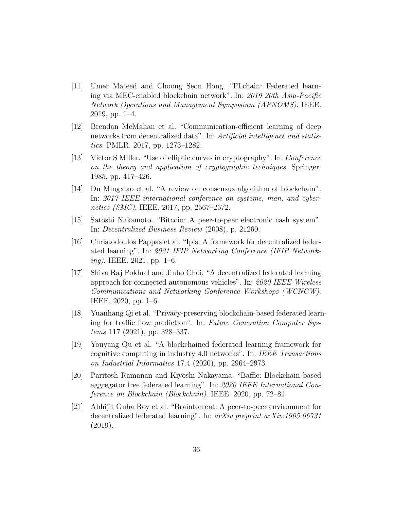- <span id="page-35-3"></span>[11] Umer Majeed and Choong Seon Hong. "FLchain: Federated learning via MEC-enabled blockchain network". In: 2019 20th Asia-Pacific Network Operations and Management Symposium (APNOMS). IEEE. 2019, pp. 1–4.
- <span id="page-35-0"></span>[12] Brendan McMahan et al. "Communication-efficient learning of deep networks from decentralized data". In: Artificial intelligence and statistics. PMLR. 2017, pp. 1273–1282.
- <span id="page-35-9"></span>[13] Victor S Miller. "Use of elliptic curves in cryptography". In: Conference on the theory and application of cryptographic techniques. Springer. 1985, pp. 417–426.
- <span id="page-35-10"></span>[14] Du Mingxiao et al. "A review on consensus algorithm of blockchain". In: 2017 IEEE international conference on systems, man, and cybernetics (SMC). IEEE. 2017, pp. 2567–2572.
- <span id="page-35-1"></span>[15] Satoshi Nakamoto. "Bitcoin: A peer-to-peer electronic cash system". In: Decentralized Business Review (2008), p. 21260.
- <span id="page-35-7"></span>[16] Christodoulos Pappas et al. "Ipls: A framework for decentralized federated learning". In: 2021 IFIP Networking Conference (IFIP Network $ing)$ . IEEE. 2021, pp. 1–6.
- <span id="page-35-5"></span>[17] Shiva Raj Pokhrel and Jinho Choi. "A decentralized federated learning approach for connected autonomous vehicles". In: 2020 IEEE Wireless Communications and Networking Conference Workshops (WCNCW). IEEE. 2020, pp. 1–6.
- <span id="page-35-6"></span>[18] Yuanhang Qi et al. "Privacy-preserving blockchain-based federated learning for traffic flow prediction". In: Future Generation Computer Systems 117 (2021), pp. 328–337.
- <span id="page-35-4"></span>[19] Youyang Qu et al. "A blockchained federated learning framework for cognitive computing in industry 4.0 networks". In: IEEE Transactions on Industrial Informatics 17.4 (2020), pp. 2964–2973.
- <span id="page-35-8"></span>[20] Paritosh Ramanan and Kiyoshi Nakayama. "Baffle: Blockchain based aggregator free federated learning". In: 2020 IEEE International Conference on Blockchain (Blockchain). IEEE. 2020, pp. 72–81.
- <span id="page-35-2"></span>[21] Abhijit Guha Roy et al. "Braintorrent: A peer-to-peer environment for decentralized federated learning". In: arXiv preprint arXiv:1905.06731 (2019).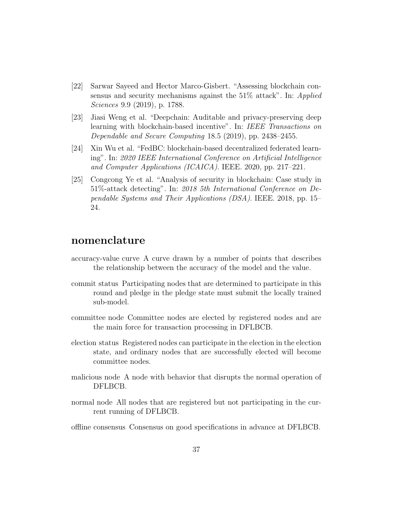- <span id="page-36-2"></span>[22] Sarwar Sayeed and Hector Marco-Gisbert. "Assessing blockchain consensus and security mechanisms against the 51\% attack". In: Applied Sciences 9.9 (2019), p. 1788.
- <span id="page-36-0"></span>[23] Jiasi Weng et al. "Deepchain: Auditable and privacy-preserving deep learning with blockchain-based incentive". In: IEEE Transactions on Dependable and Secure Computing 18.5 (2019), pp. 2438–2455.
- <span id="page-36-1"></span>[24] Xin Wu et al. "FedBC: blockchain-based decentralized federated learning". In: 2020 IEEE International Conference on Artificial Intelligence and Computer Applications (ICAICA). IEEE. 2020, pp. 217–221.
- <span id="page-36-3"></span>[25] Congcong Ye et al. "Analysis of security in blockchain: Case study in 51%-attack detecting". In: 2018 5th International Conference on Dependable Systems and Their Applications (DSA). IEEE. 2018, pp. 15– 24.

### nomenclature

- accuracy-value curve A curve drawn by a number of points that describes the relationship between the accuracy of the model and the value.
- commit status Participating nodes that are determined to participate in this round and pledge in the pledge state must submit the locally trained sub-model.
- committee node Committee nodes are elected by registered nodes and are the main force for transaction processing in DFLBCB.
- election status Registered nodes can participate in the election in the election state, and ordinary nodes that are successfully elected will become committee nodes.
- malicious node A node with behavior that disrupts the normal operation of DFLBCB.
- normal node All nodes that are registered but not participating in the current running of DFLBCB.
- offline consensus Consensus on good specifications in advance at DFLBCB.